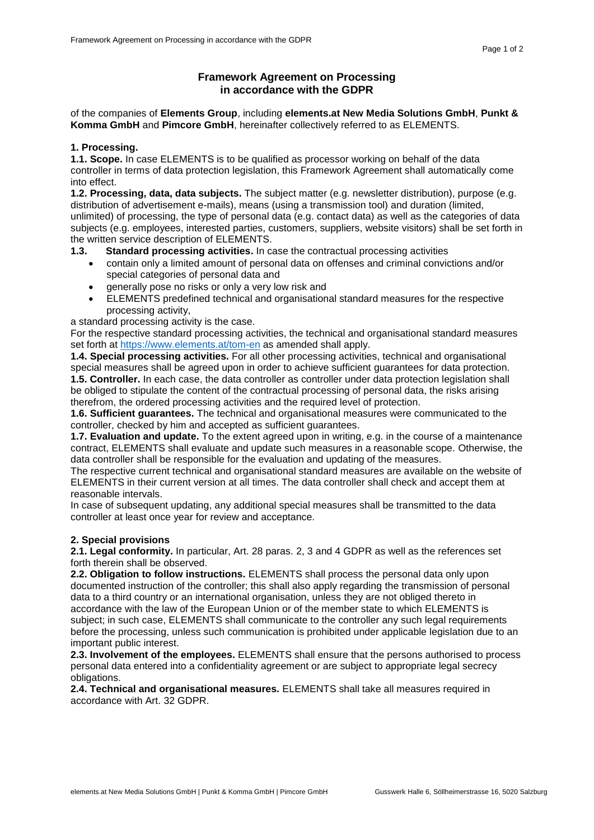# **Framework Agreement on Processing in accordance with the GDPR**

of the companies of **Elements Group**, including **elements.at New Media Solutions GmbH**, **Punkt & Komma GmbH** and **Pimcore GmbH**, hereinafter collectively referred to as ELEMENTS.

### **1. Processing.**

**1.1. Scope.** In case ELEMENTS is to be qualified as processor working on behalf of the data controller in terms of data protection legislation, this Framework Agreement shall automatically come into effect.

**1.2. Processing, data, data subjects.** The subject matter (e.g. newsletter distribution), purpose (e.g. distribution of advertisement e-mails), means (using a transmission tool) and duration (limited, unlimited) of processing, the type of personal data (e.g. contact data) as well as the categories of data subjects (e.g. employees, interested parties, customers, suppliers, website visitors) shall be set forth in the written service description of ELEMENTS.

## **1.3. Standard processing activities.** In case the contractual processing activities

- contain only a limited amount of personal data on offenses and criminal convictions and/or special categories of personal data and
- generally pose no risks or only a very low risk and
- ELEMENTS predefined technical and organisational standard measures for the respective processing activity,

a standard processing activity is the case.

For the respective standard processing activities, the technical and organisational standard measures set forth at<https://www.elements.at/tom-en> as amended shall apply.

**1.4. Special processing activities.** For all other processing activities, technical and organisational special measures shall be agreed upon in order to achieve sufficient guarantees for data protection. **1.5. Controller.** In each case, the data controller as controller under data protection legislation shall be obliged to stipulate the content of the contractual processing of personal data, the risks arising therefrom, the ordered processing activities and the required level of protection.

**1.6. Sufficient guarantees.** The technical and organisational measures were communicated to the controller, checked by him and accepted as sufficient guarantees.

**1.7. Evaluation and update.** To the extent agreed upon in writing, e.g. in the course of a maintenance contract, ELEMENTS shall evaluate and update such measures in a reasonable scope. Otherwise, the data controller shall be responsible for the evaluation and updating of the measures.

The respective current technical and organisational standard measures are available on the website of ELEMENTS in their current version at all times. The data controller shall check and accept them at reasonable intervals.

In case of subsequent updating, any additional special measures shall be transmitted to the data controller at least once year for review and acceptance.

### **2. Special provisions**

**2.1. Legal conformity.** In particular, Art. 28 paras. 2, 3 and 4 GDPR as well as the references set forth therein shall be observed.

**2.2. Obligation to follow instructions.** ELEMENTS shall process the personal data only upon documented instruction of the controller; this shall also apply regarding the transmission of personal data to a third country or an international organisation, unless they are not obliged thereto in accordance with the law of the European Union or of the member state to which ELEMENTS is subject; in such case, ELEMENTS shall communicate to the controller any such legal requirements before the processing, unless such communication is prohibited under applicable legislation due to an important public interest.

**2.3. Involvement of the employees.** ELEMENTS shall ensure that the persons authorised to process personal data entered into a confidentiality agreement or are subject to appropriate legal secrecy obligations.

**2.4. Technical and organisational measures.** ELEMENTS shall take all measures required in accordance with Art. 32 GDPR.